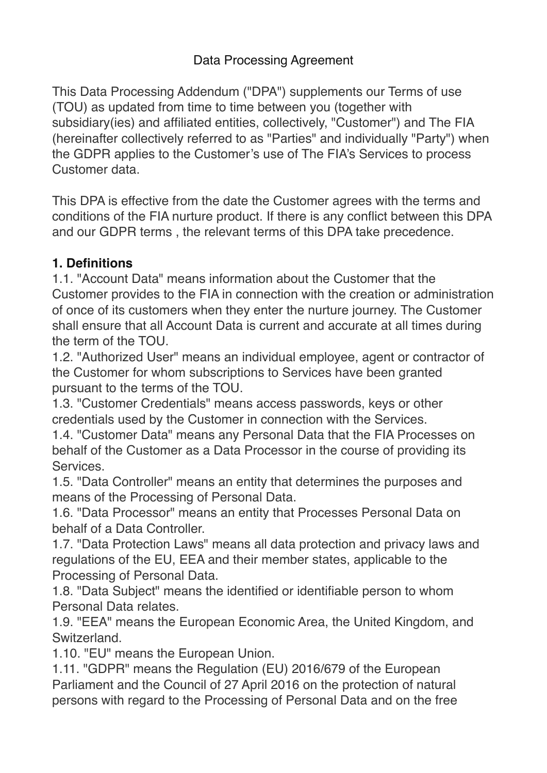## Data Processing Agreement

This Data Processing Addendum ("DPA") supplements our Terms of use (TOU) as updated from time to time between you (together with subsidiary(ies) and affiliated entities, collectively, "Customer") and The FIA (hereinafter collectively referred to as "Parties" and individually "Party") when the GDPR applies to the Customer's use of The FIA's Services to process Customer data.

This DPA is effective from the date the Customer agrees with the terms and conditions of the FIA nurture product. If there is any conflict between this DPA and our GDPR terms , the relevant terms of this DPA take precedence.

## **1. Definitions**

1.1. "Account Data" means information about the Customer that the Customer provides to the FIA in connection with the creation or administration of once of its customers when they enter the nurture journey. The Customer shall ensure that all Account Data is current and accurate at all times during the term of the TOU.

1.2. "Authorized User" means an individual employee, agent or contractor of the Customer for whom subscriptions to Services have been granted pursuant to the terms of the TOU.

1.3. "Customer Credentials" means access passwords, keys or other credentials used by the Customer in connection with the Services.

1.4. "Customer Data" means any Personal Data that the FIA Processes on behalf of the Customer as a Data Processor in the course of providing its Services.

1.5. "Data Controller" means an entity that determines the purposes and means of the Processing of Personal Data.

1.6. "Data Processor" means an entity that Processes Personal Data on behalf of a Data Controller.

1.7. "Data Protection Laws" means all data protection and privacy laws and regulations of the EU, EEA and their member states, applicable to the Processing of Personal Data.

1.8. "Data Subject" means the identified or identifiable person to whom Personal Data relates.

1.9. "EEA" means the European Economic Area, the United Kingdom, and Switzerland.

1.10. "EU" means the European Union.

1.11. "GDPR" means the Regulation (EU) 2016/679 of the European Parliament and the Council of 27 April 2016 on the protection of natural persons with regard to the Processing of Personal Data and on the free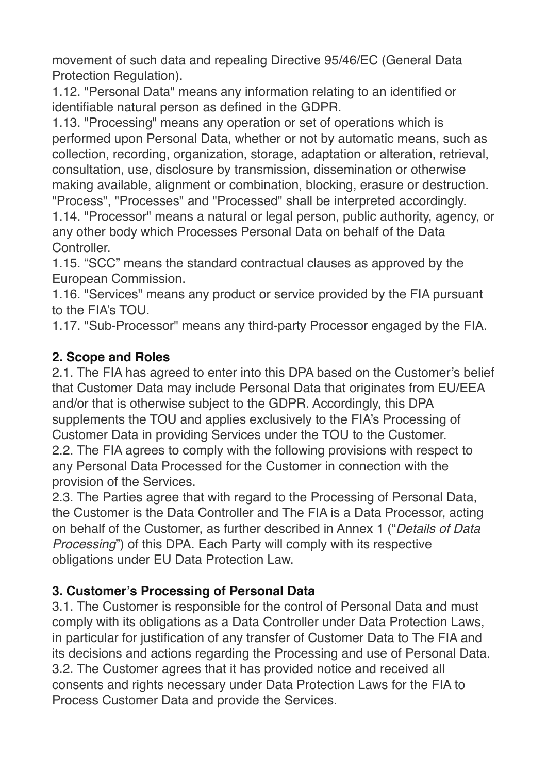movement of such data and repealing Directive 95/46/EC (General Data Protection Regulation).

1.12. "Personal Data" means any information relating to an identified or identifiable natural person as defined in the GDPR.

1.13. "Processing" means any operation or set of operations which is performed upon Personal Data, whether or not by automatic means, such as collection, recording, organization, storage, adaptation or alteration, retrieval, consultation, use, disclosure by transmission, dissemination or otherwise making available, alignment or combination, blocking, erasure or destruction. "Process", "Processes" and "Processed" shall be interpreted accordingly.

1.14. "Processor" means a natural or legal person, public authority, agency, or any other body which Processes Personal Data on behalf of the Data Controller.

1.15. "SCC" means the standard contractual clauses as approved by the European Commission.

1.16. "Services" means any product or service provided by the FIA pursuant to the FIA's TOU.

1.17. "Sub-Processor" means any third-party Processor engaged by the FIA.

# **2. Scope and Roles**

2.1. The FIA has agreed to enter into this DPA based on the Customer's belief that Customer Data may include Personal Data that originates from EU/EEA and/or that is otherwise subject to the GDPR. Accordingly, this DPA supplements the TOU and applies exclusively to the FIA's Processing of Customer Data in providing Services under the TOU to the Customer. 2.2. The FIA agrees to comply with the following provisions with respect to any Personal Data Processed for the Customer in connection with the provision of the Services.

2.3. The Parties agree that with regard to the Processing of Personal Data, the Customer is the Data Controller and The FIA is a Data Processor, acting on behalf of the Customer, as further described in Annex 1 ("*Details of Data Processing*") of this DPA. Each Party will comply with its respective obligations under EU Data Protection Law.

# **3. Customer's Processing of Personal Data**

3.1. The Customer is responsible for the control of Personal Data and must comply with its obligations as a Data Controller under Data Protection Laws, in particular for justification of any transfer of Customer Data to The FIA and its decisions and actions regarding the Processing and use of Personal Data. 3.2. The Customer agrees that it has provided notice and received all consents and rights necessary under Data Protection Laws for the FIA to Process Customer Data and provide the Services.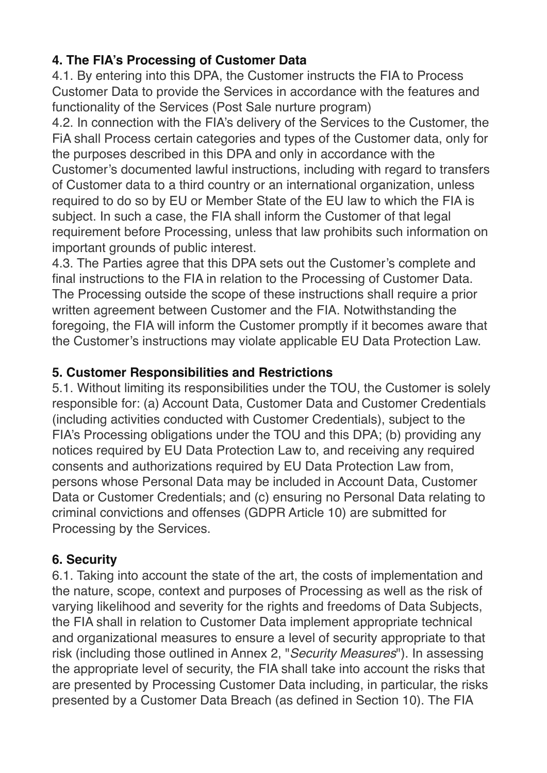# **4. The FIA's Processing of Customer Data**

4.1. By entering into this DPA, the Customer instructs the FIA to Process Customer Data to provide the Services in accordance with the features and functionality of the Services (Post Sale nurture program)

4.2. In connection with the FIA's delivery of the Services to the Customer, the FiA shall Process certain categories and types of the Customer data, only for the purposes described in this DPA and only in accordance with the Customer's documented lawful instructions, including with regard to transfers of Customer data to a third country or an international organization, unless required to do so by EU or Member State of the EU law to which the FIA is subject. In such a case, the FIA shall inform the Customer of that legal requirement before Processing, unless that law prohibits such information on important grounds of public interest.

4.3. The Parties agree that this DPA sets out the Customer's complete and final instructions to the FIA in relation to the Processing of Customer Data. The Processing outside the scope of these instructions shall require a prior written agreement between Customer and the FIA. Notwithstanding the foregoing, the FIA will inform the Customer promptly if it becomes aware that the Customer's instructions may violate applicable EU Data Protection Law.

### **5. Customer Responsibilities and Restrictions**

5.1. Without limiting its responsibilities under the TOU, the Customer is solely responsible for: (a) Account Data, Customer Data and Customer Credentials (including activities conducted with Customer Credentials), subject to the FIA's Processing obligations under the TOU and this DPA; (b) providing any notices required by EU Data Protection Law to, and receiving any required consents and authorizations required by EU Data Protection Law from, persons whose Personal Data may be included in Account Data, Customer Data or Customer Credentials; and (c) ensuring no Personal Data relating to criminal convictions and offenses (GDPR Article 10) are submitted for Processing by the Services.

## **6. Security**

6.1. Taking into account the state of the art, the costs of implementation and the nature, scope, context and purposes of Processing as well as the risk of varying likelihood and severity for the rights and freedoms of Data Subjects, the FIA shall in relation to Customer Data implement appropriate technical and organizational measures to ensure a level of security appropriate to that risk (including those outlined in Annex 2, "*Security Measures*"). In assessing the appropriate level of security, the FIA shall take into account the risks that are presented by Processing Customer Data including, in particular, the risks presented by a Customer Data Breach (as defined in Section 10). The FIA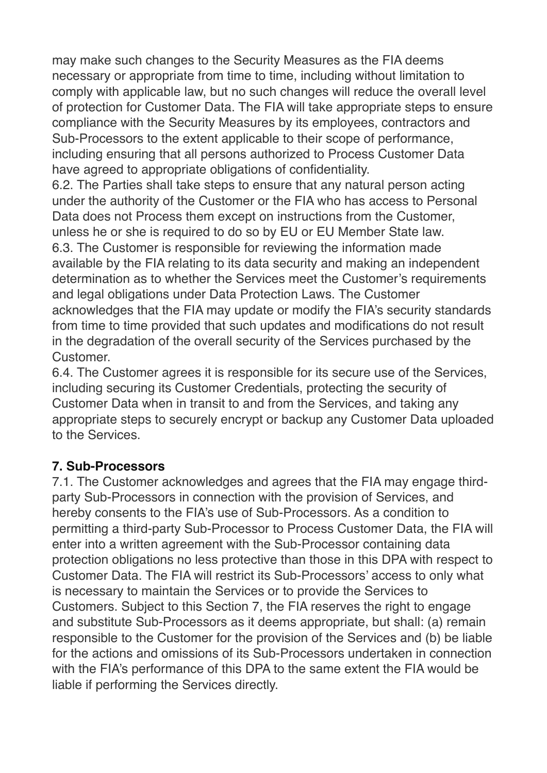may make such changes to the Security Measures as the FIA deems necessary or appropriate from time to time, including without limitation to comply with applicable law, but no such changes will reduce the overall level of protection for Customer Data. The FIA will take appropriate steps to ensure compliance with the Security Measures by its employees, contractors and Sub-Processors to the extent applicable to their scope of performance, including ensuring that all persons authorized to Process Customer Data have agreed to appropriate obligations of confidentiality.

6.2. The Parties shall take steps to ensure that any natural person acting under the authority of the Customer or the FIA who has access to Personal Data does not Process them except on instructions from the Customer, unless he or she is required to do so by EU or EU Member State law. 6.3. The Customer is responsible for reviewing the information made available by the FIA relating to its data security and making an independent determination as to whether the Services meet the Customer's requirements and legal obligations under Data Protection Laws. The Customer acknowledges that the FIA may update or modify the FIA's security standards from time to time provided that such updates and modifications do not result in the degradation of the overall security of the Services purchased by the Customer.

6.4. The Customer agrees it is responsible for its secure use of the Services, including securing its Customer Credentials, protecting the security of Customer Data when in transit to and from the Services, and taking any appropriate steps to securely encrypt or backup any Customer Data uploaded to the Services.

## **7. Sub-Processors**

7.1. The Customer acknowledges and agrees that the FIA may engage thirdparty Sub-Processors in connection with the provision of Services, and hereby consents to the FIA's use of Sub-Processors. As a condition to permitting a third-party Sub-Processor to Process Customer Data, the FIA will enter into a written agreement with the Sub-Processor containing data protection obligations no less protective than those in this DPA with respect to Customer Data. The FIA will restrict its Sub-Processors' access to only what is necessary to maintain the Services or to provide the Services to Customers. Subject to this Section 7, the FIA reserves the right to engage and substitute Sub-Processors as it deems appropriate, but shall: (a) remain responsible to the Customer for the provision of the Services and (b) be liable for the actions and omissions of its Sub-Processors undertaken in connection with the FIA's performance of this DPA to the same extent the FIA would be liable if performing the Services directly.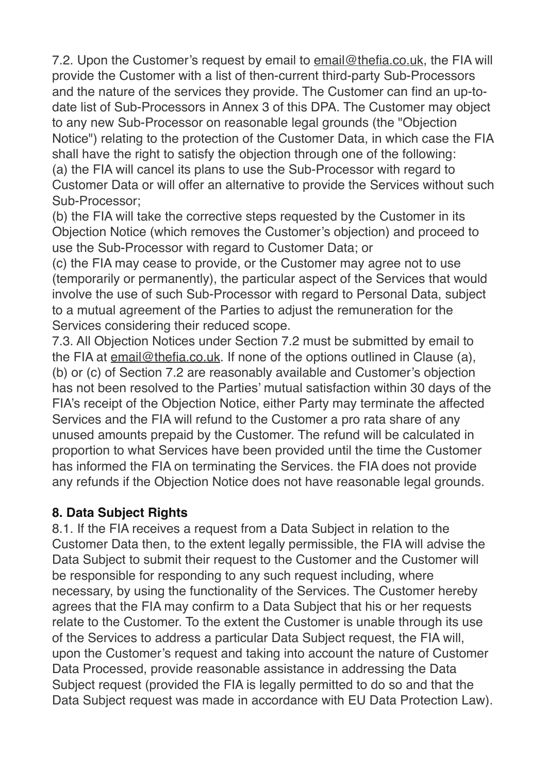7.2. Upon the Customer's request by email to [email@thefia.co.uk](mailto:email@thefia.co.uk), the FIA will provide the Customer with a list of then-current third-party Sub-Processors and the nature of the services they provide. The Customer can find an up-todate list of Sub-Processors in Annex 3 of this DPA. The Customer may object to any new Sub-Processor on reasonable legal grounds (the "Objection Notice") relating to the protection of the Customer Data, in which case the FIA shall have the right to satisfy the objection through one of the following: (a) the FIA will cancel its plans to use the Sub-Processor with regard to Customer Data or will offer an alternative to provide the Services without such Sub-Processor;

(b) the FIA will take the corrective steps requested by the Customer in its Objection Notice (which removes the Customer's objection) and proceed to use the Sub-Processor with regard to Customer Data; or

(c) the FIA may cease to provide, or the Customer may agree not to use (temporarily or permanently), the particular aspect of the Services that would involve the use of such Sub-Processor with regard to Personal Data, subject to a mutual agreement of the Parties to adjust the remuneration for the Services considering their reduced scope.

7.3. All Objection Notices under Section 7.2 must be submitted by email to the FIA at [email@thefia.co.uk.](mailto:email@thefia.co.uk) If none of the options outlined in Clause (a), (b) or (c) of Section 7.2 are reasonably available and Customer's objection has not been resolved to the Parties' mutual satisfaction within 30 days of the FIA's receipt of the Objection Notice, either Party may terminate the affected Services and the FIA will refund to the Customer a pro rata share of any unused amounts prepaid by the Customer. The refund will be calculated in proportion to what Services have been provided until the time the Customer has informed the FIA on terminating the Services. the FIA does not provide any refunds if the Objection Notice does not have reasonable legal grounds.

#### **8. Data Subject Rights**

8.1. If the FIA receives a request from a Data Subject in relation to the Customer Data then, to the extent legally permissible, the FIA will advise the Data Subject to submit their request to the Customer and the Customer will be responsible for responding to any such request including, where necessary, by using the functionality of the Services. The Customer hereby agrees that the FIA may confirm to a Data Subject that his or her requests relate to the Customer. To the extent the Customer is unable through its use of the Services to address a particular Data Subject request, the FIA will, upon the Customer's request and taking into account the nature of Customer Data Processed, provide reasonable assistance in addressing the Data Subject request (provided the FIA is legally permitted to do so and that the Data Subject request was made in accordance with EU Data Protection Law).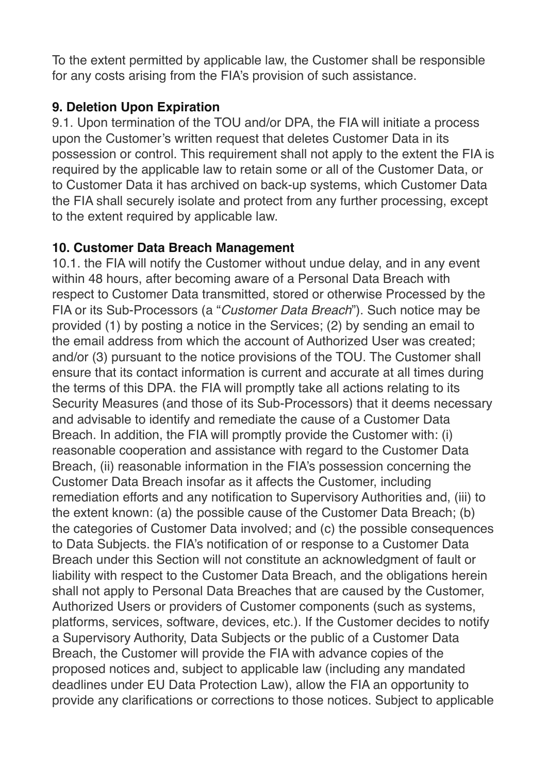To the extent permitted by applicable law, the Customer shall be responsible for any costs arising from the FIA's provision of such assistance.

#### **9. Deletion Upon Expiration**

9.1. Upon termination of the TOU and/or DPA, the FIA will initiate a process upon the Customer's written request that deletes Customer Data in its possession or control. This requirement shall not apply to the extent the FIA is required by the applicable law to retain some or all of the Customer Data, or to Customer Data it has archived on back-up systems, which Customer Data the FIA shall securely isolate and protect from any further processing, except to the extent required by applicable law.

### **10. Customer Data Breach Management**

10.1. the FIA will notify the Customer without undue delay, and in any event within 48 hours, after becoming aware of a Personal Data Breach with respect to Customer Data transmitted, stored or otherwise Processed by the FIA or its Sub-Processors (a "*Customer Data Breach*"). Such notice may be provided (1) by posting a notice in the Services; (2) by sending an email to the email address from which the account of Authorized User was created; and/or (3) pursuant to the notice provisions of the TOU. The Customer shall ensure that its contact information is current and accurate at all times during the terms of this DPA. the FIA will promptly take all actions relating to its Security Measures (and those of its Sub-Processors) that it deems necessary and advisable to identify and remediate the cause of a Customer Data Breach. In addition, the FIA will promptly provide the Customer with: (i) reasonable cooperation and assistance with regard to the Customer Data Breach, (ii) reasonable information in the FIA's possession concerning the Customer Data Breach insofar as it affects the Customer, including remediation efforts and any notification to Supervisory Authorities and, (iii) to the extent known: (a) the possible cause of the Customer Data Breach; (b) the categories of Customer Data involved; and (c) the possible consequences to Data Subjects. the FIA's notification of or response to a Customer Data Breach under this Section will not constitute an acknowledgment of fault or liability with respect to the Customer Data Breach, and the obligations herein shall not apply to Personal Data Breaches that are caused by the Customer, Authorized Users or providers of Customer components (such as systems, platforms, services, software, devices, etc.). If the Customer decides to notify a Supervisory Authority, Data Subjects or the public of a Customer Data Breach, the Customer will provide the FIA with advance copies of the proposed notices and, subject to applicable law (including any mandated deadlines under EU Data Protection Law), allow the FIA an opportunity to provide any clarifications or corrections to those notices. Subject to applicable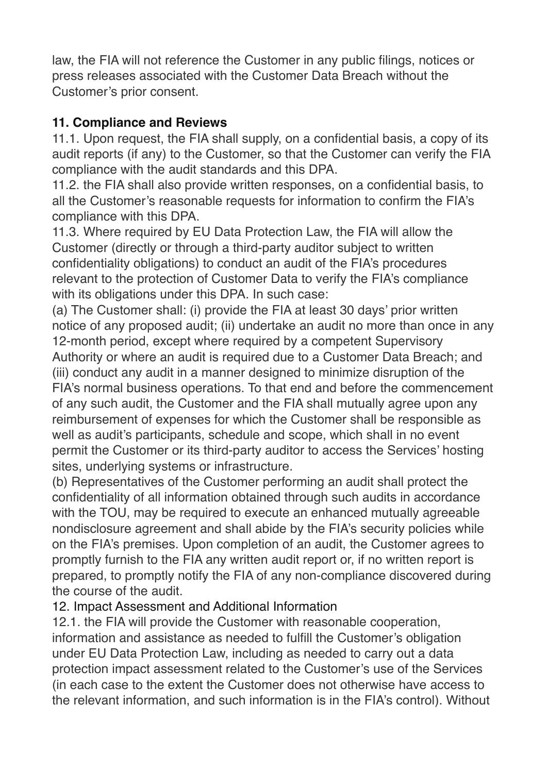law, the FIA will not reference the Customer in any public filings, notices or press releases associated with the Customer Data Breach without the Customer's prior consent.

### **11. Compliance and Reviews**

11.1. Upon request, the FIA shall supply, on a confidential basis, a copy of its audit reports (if any) to the Customer, so that the Customer can verify the FIA compliance with the audit standards and this DPA.

11.2. the FIA shall also provide written responses, on a confidential basis, to all the Customer's reasonable requests for information to confirm the FIA's compliance with this DPA.

11.3. Where required by EU Data Protection Law, the FIA will allow the Customer (directly or through a third-party auditor subject to written confidentiality obligations) to conduct an audit of the FIA's procedures relevant to the protection of Customer Data to verify the FIA's compliance with its obligations under this DPA. In such case:

(a) The Customer shall: (i) provide the FIA at least 30 days' prior written notice of any proposed audit; (ii) undertake an audit no more than once in any 12-month period, except where required by a competent Supervisory Authority or where an audit is required due to a Customer Data Breach; and (iii) conduct any audit in a manner designed to minimize disruption of the FIA's normal business operations. To that end and before the commencement of any such audit, the Customer and the FIA shall mutually agree upon any reimbursement of expenses for which the Customer shall be responsible as well as audit's participants, schedule and scope, which shall in no event permit the Customer or its third-party auditor to access the Services' hosting sites, underlying systems or infrastructure.

(b) Representatives of the Customer performing an audit shall protect the confidentiality of all information obtained through such audits in accordance with the TOU, may be required to execute an enhanced mutually agreeable nondisclosure agreement and shall abide by the FIA's security policies while on the FIA's premises. Upon completion of an audit, the Customer agrees to promptly furnish to the FIA any written audit report or, if no written report is prepared, to promptly notify the FIA of any non-compliance discovered during the course of the audit.

## 12. Impact Assessment and Additional Information

12.1. the FIA will provide the Customer with reasonable cooperation, information and assistance as needed to fulfill the Customer's obligation under EU Data Protection Law, including as needed to carry out a data protection impact assessment related to the Customer's use of the Services (in each case to the extent the Customer does not otherwise have access to the relevant information, and such information is in the FIA's control). Without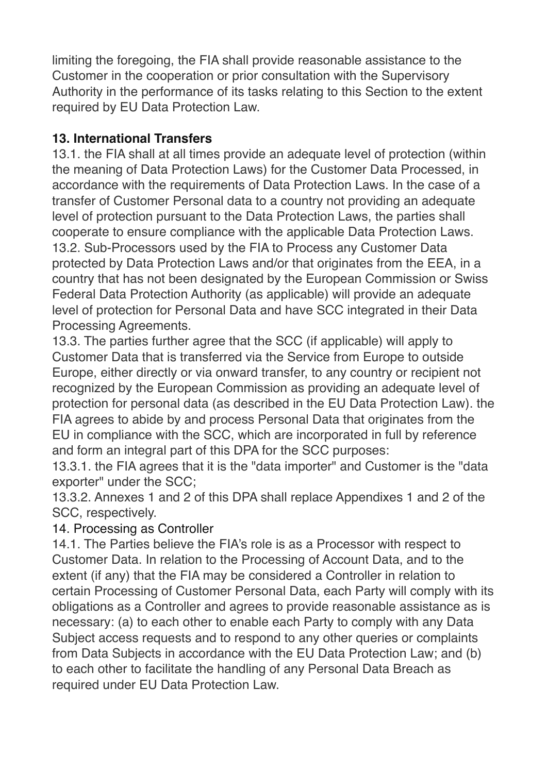limiting the foregoing, the FIA shall provide reasonable assistance to the Customer in the cooperation or prior consultation with the Supervisory Authority in the performance of its tasks relating to this Section to the extent required by EU Data Protection Law.

### **13. International Transfers**

13.1. the FIA shall at all times provide an adequate level of protection (within the meaning of Data Protection Laws) for the Customer Data Processed, in accordance with the requirements of Data Protection Laws. In the case of a transfer of Customer Personal data to a country not providing an adequate level of protection pursuant to the Data Protection Laws, the parties shall cooperate to ensure compliance with the applicable Data Protection Laws. 13.2. Sub-Processors used by the FIA to Process any Customer Data protected by Data Protection Laws and/or that originates from the EEA, in a country that has not been designated by the European Commission or Swiss Federal Data Protection Authority (as applicable) will provide an adequate level of protection for Personal Data and have SCC integrated in their Data Processing Agreements.

13.3. The parties further agree that the SCC (if applicable) will apply to Customer Data that is transferred via the Service from Europe to outside Europe, either directly or via onward transfer, to any country or recipient not recognized by the European Commission as providing an adequate level of protection for personal data (as described in the EU Data Protection Law). the FIA agrees to abide by and process Personal Data that originates from the EU in compliance with the SCC, which are incorporated in full by reference and form an integral part of this DPA for the SCC purposes:

13.3.1. the FIA agrees that it is the "data importer" and Customer is the "data exporter" under the SCC;

13.3.2. Annexes 1 and 2 of this DPA shall replace Appendixes 1 and 2 of the SCC, respectively.

#### 14. Processing as Controller

14.1. The Parties believe the FIA's role is as a Processor with respect to Customer Data. In relation to the Processing of Account Data, and to the extent (if any) that the FIA may be considered a Controller in relation to certain Processing of Customer Personal Data, each Party will comply with its obligations as a Controller and agrees to provide reasonable assistance as is necessary: (a) to each other to enable each Party to comply with any Data Subject access requests and to respond to any other queries or complaints from Data Subjects in accordance with the EU Data Protection Law; and (b) to each other to facilitate the handling of any Personal Data Breach as required under EU Data Protection Law.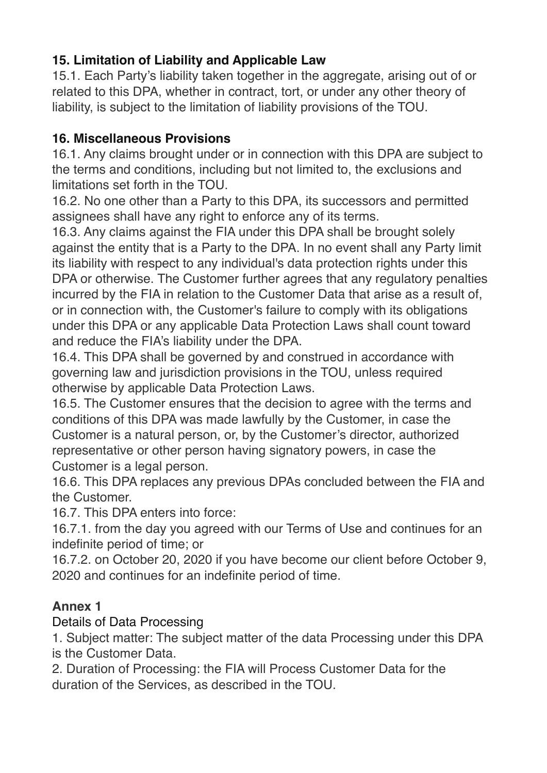# **15. Limitation of Liability and Applicable Law**

15.1. Each Party's liability taken together in the aggregate, arising out of or related to this DPA, whether in contract, tort, or under any other theory of liability, is subject to the limitation of liability provisions of the TOU.

### **16. Miscellaneous Provisions**

16.1. Any claims brought under or in connection with this DPA are subject to the terms and conditions, including but not limited to, the exclusions and limitations set forth in the TOU.

16.2. No one other than a Party to this DPA, its successors and permitted assignees shall have any right to enforce any of its terms.

16.3. Any claims against the FIA under this DPA shall be brought solely against the entity that is a Party to the DPA. In no event shall any Party limit its liability with respect to any individual's data protection rights under this DPA or otherwise. The Customer further agrees that any regulatory penalties incurred by the FIA in relation to the Customer Data that arise as a result of, or in connection with, the Customer's failure to comply with its obligations under this DPA or any applicable Data Protection Laws shall count toward and reduce the FIA's liability under the DPA.

16.4. This DPA shall be governed by and construed in accordance with governing law and jurisdiction provisions in the TOU, unless required otherwise by applicable Data Protection Laws.

16.5. The Customer ensures that the decision to agree with the terms and conditions of this DPA was made lawfully by the Customer, in case the Customer is a natural person, or, by the Customer's director, authorized representative or other person having signatory powers, in case the Customer is a legal person.

16.6. This DPA replaces any previous DPAs concluded between the FIA and the Customer.

16.7. This DPA enters into force:

16.7.1. from the day you agreed with our Terms of Use and continues for an indefinite period of time; or

16.7.2. on October 20, 2020 if you have become our client before October 9, 2020 and continues for an indefinite period of time.

## **Annex 1**

#### Details of Data Processing

1. Subject matter: The subject matter of the data Processing under this DPA is the Customer Data.

2. Duration of Processing: the FIA will Process Customer Data for the duration of the Services, as described in the TOU.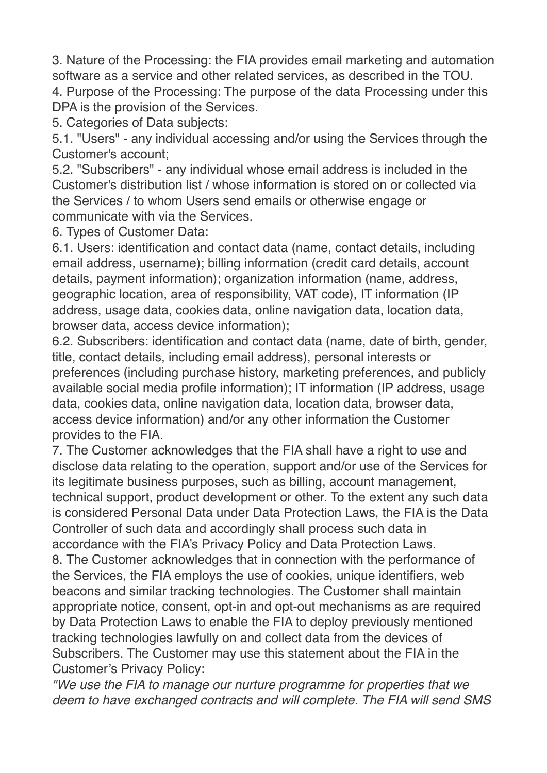3. Nature of the Processing: the FIA provides email marketing and automation software as a service and other related services, as described in the TOU. 4. Purpose of the Processing: The purpose of the data Processing under this DPA is the provision of the Services.

5. Categories of Data subjects:

5.1. "Users" - any individual accessing and/or using the Services through the Customer's account;

5.2. "Subscribers" - any individual whose email address is included in the Customer's distribution list / whose information is stored on or collected via the Services / to whom Users send emails or otherwise engage or communicate with via the Services.

6. Types of Customer Data:

6.1. Users: identification and contact data (name, contact details, including email address, username); billing information (credit card details, account details, payment information); organization information (name, address, geographic location, area of responsibility, VAT code), IT information (IP address, usage data, cookies data, online navigation data, location data, browser data, access device information);

6.2. Subscribers: identification and contact data (name, date of birth, gender, title, contact details, including email address), personal interests or preferences (including purchase history, marketing preferences, and publicly available social media profile information); IT information (IP address, usage data, cookies data, online navigation data, location data, browser data, access device information) and/or any other information the Customer provides to the FIA.

7. The Customer acknowledges that the FIA shall have a right to use and disclose data relating to the operation, support and/or use of the Services for its legitimate business purposes, such as billing, account management, technical support, product development or other. To the extent any such data is considered Personal Data under Data Protection Laws, the FIA is the Data Controller of such data and accordingly shall process such data in accordance with the FIA's Privacy Policy and Data Protection Laws. 8. The Customer acknowledges that in connection with the performance of the Services, the FIA employs the use of cookies, unique identifiers, web beacons and similar tracking technologies. The Customer shall maintain appropriate notice, consent, opt-in and opt-out mechanisms as are required by Data Protection Laws to enable the FIA to deploy previously mentioned

tracking technologies lawfully on and collect data from the devices of Subscribers. The Customer may use this statement about the FIA in the Customer's Privacy Policy:

*"We use the FIA to manage our nurture programme for properties that we deem to have exchanged contracts and will complete. The FIA will send SMS*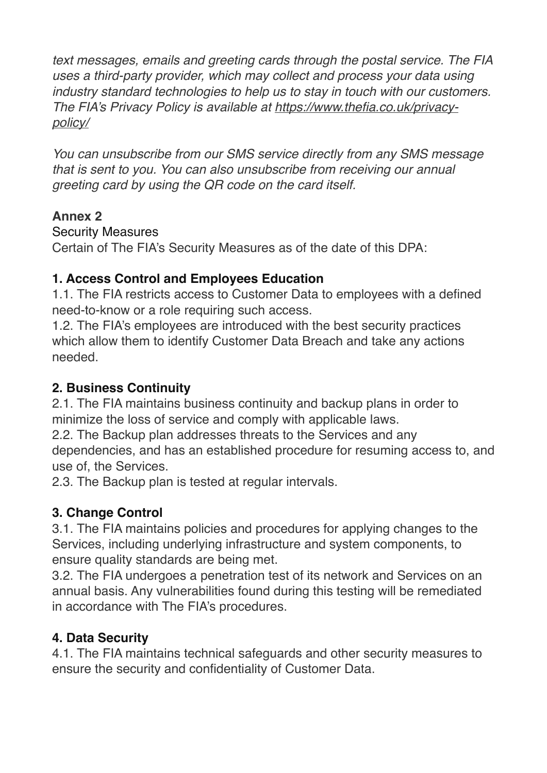*text messages, emails and greeting cards through the postal service. The FIA uses a third-party provider, which may collect and process your data using industry standard technologies to help us to stay in touch with our customers. The FIA's Privacy Policy is available at [https://www.thefia.co.uk/privacy](https://www.thefia.co.uk/privacy-policy/)[policy/](https://www.thefia.co.uk/privacy-policy/)*

*You can unsubscribe from our SMS service directly from any SMS message that is sent to you. You can also unsubscribe from receiving our annual greeting card by using the QR code on the card itself.* 

## **Annex 2**

#### Security Measures

Certain of The FIA's Security Measures as of the date of this DPA:

## **1. Access Control and Employees Education**

1.1. The FIA restricts access to Customer Data to employees with a defined need-to-know or a role requiring such access.

1.2. The FIA's employees are introduced with the best security practices which allow them to identify Customer Data Breach and take any actions needed.

### **2. Business Continuity**

2.1. The FIA maintains business continuity and backup plans in order to minimize the loss of service and comply with applicable laws.

2.2. The Backup plan addresses threats to the Services and any

dependencies, and has an established procedure for resuming access to, and use of, the Services.

2.3. The Backup plan is tested at regular intervals.

# **3. Change Control**

3.1. The FIA maintains policies and procedures for applying changes to the Services, including underlying infrastructure and system components, to ensure quality standards are being met.

3.2. The FIA undergoes a penetration test of its network and Services on an annual basis. Any vulnerabilities found during this testing will be remediated in accordance with The FIA's procedures.

## **4. Data Security**

4.1. The FIA maintains technical safeguards and other security measures to ensure the security and confidentiality of Customer Data.